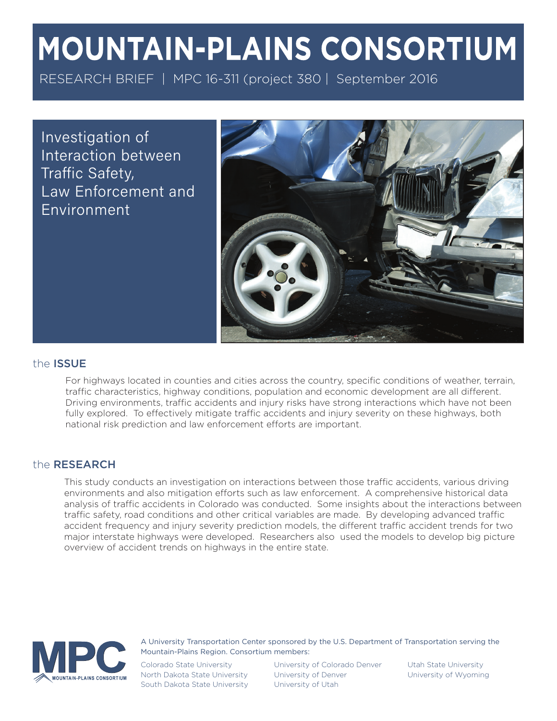# **MOUNTAIN-PLAINS CONSORTIUM**

RESEARCH BRIEF | MPC 16-311 (project 380 | September 2016

Investigation of Interaction between Traffic Safety, Law Enforcement and Environment



# the ISSUE

For highways located in counties and cities across the country, specific conditions of weather, terrain, traffic characteristics, highway conditions, population and economic development are all different. Driving environments, traffic accidents and injury risks have strong interactions which have not been fully explored. To effectively mitigate traffic accidents and injury severity on these highways, both national risk prediction and law enforcement efforts are important.

## the RESEARCH

This study conducts an investigation on interactions between those traffic accidents, various driving environments and also mitigation efforts such as law enforcement. A comprehensive historical data analysis of traffic accidents in Colorado was conducted. Some insights about the interactions between traffic safety, road conditions and other critical variables are made. By developing advanced traffic accident frequency and injury severity prediction models, the different traffic accident trends for two major interstate highways were developed. Researchers also used the models to develop big picture overview of accident trends on highways in the entire state.



A University Transportation Center sponsored by the U.S. Department of Transportation serving the Mountain-Plains Region. Consortium members:

Colorado State University North Dakota State University South Dakota State University University of Colorado Denver University of Denver University of Utah

Utah State University University of Wyoming